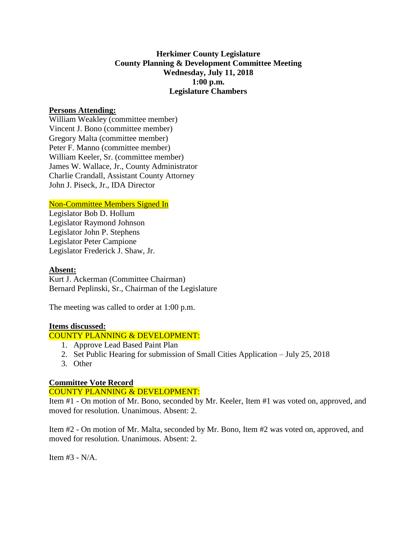# **Herkimer County Legislature County Planning & Development Committee Meeting Wednesday, July 11, 2018 1:00 p.m. Legislature Chambers**

## **Persons Attending:**

William Weakley (committee member) Vincent J. Bono (committee member) Gregory Malta (committee member) Peter F. Manno (committee member) William Keeler, Sr. (committee member) James W. Wallace, Jr., County Administrator Charlie Crandall, Assistant County Attorney John J. Piseck, Jr., IDA Director

### Non-Committee Members Signed In

Legislator Bob D. Hollum Legislator Raymond Johnson Legislator John P. Stephens Legislator Peter Campione Legislator Frederick J. Shaw, Jr.

### **Absent:**

Kurt J. Ackerman (Committee Chairman) Bernard Peplinski, Sr., Chairman of the Legislature

The meeting was called to order at 1:00 p.m.

### **Items discussed:**

#### COUNTY PLANNING & DEVELOPMENT:

- 1. Approve Lead Based Paint Plan
- 2. Set Public Hearing for submission of Small Cities Application July 25, 2018
- 3. Other

### **Committee Vote Record**

### COUNTY PLANNING & DEVELOPMENT:

Item #1 - On motion of Mr. Bono, seconded by Mr. Keeler, Item #1 was voted on, approved, and moved for resolution. Unanimous. Absent: 2.

Item #2 - On motion of Mr. Malta, seconded by Mr. Bono, Item #2 was voted on, approved, and moved for resolution. Unanimous. Absent: 2.

Item #3 - N/A.